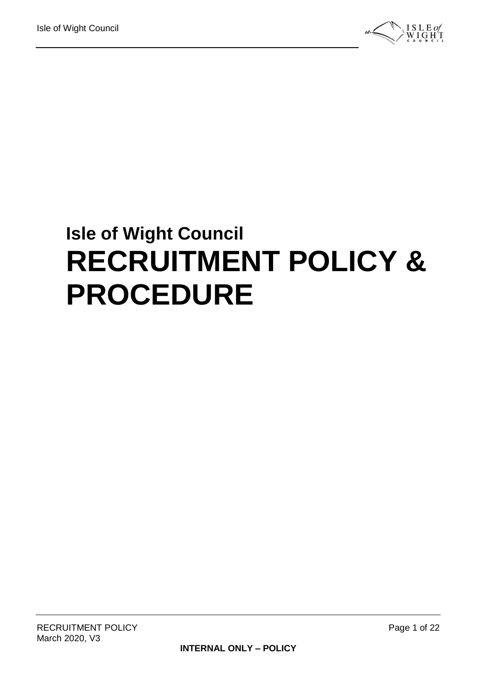

# **Isle of Wight Council RECRUITMENT POLICY & PROCEDURE**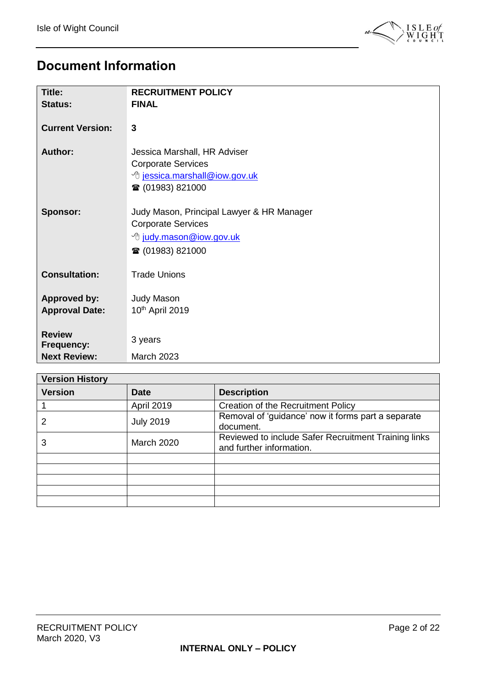

### <span id="page-1-0"></span>**Document Information**

| Title:                                       | <b>RECRUITMENT POLICY</b><br><b>FINAL</b>                                                                                        |
|----------------------------------------------|----------------------------------------------------------------------------------------------------------------------------------|
| <b>Status:</b>                               |                                                                                                                                  |
| <b>Current Version:</b>                      | 3                                                                                                                                |
| <b>Author:</b>                               | Jessica Marshall, HR Adviser<br><b>Corporate Services</b><br><sup>t</sup> jessica.marshall@iow.gov.uk<br>☎ (01983) 821000        |
| <b>Sponsor:</b>                              | Judy Mason, Principal Lawyer & HR Manager<br><b>Corporate Services</b><br><sup>B</sup> judy.mason@iow.gov.uk<br>☎ (01983) 821000 |
| <b>Consultation:</b>                         | <b>Trade Unions</b>                                                                                                              |
| <b>Approved by:</b><br><b>Approval Date:</b> | <b>Judy Mason</b><br>10th April 2019                                                                                             |
| <b>Review</b><br>Frequency:                  | 3 years                                                                                                                          |
| <b>Next Review:</b>                          | March 2023                                                                                                                       |

| <b>Version History</b> |                   |                                                                                  |  |  |
|------------------------|-------------------|----------------------------------------------------------------------------------|--|--|
| <b>Version</b>         | <b>Date</b>       | <b>Description</b>                                                               |  |  |
|                        | <b>April 2019</b> | Creation of the Recruitment Policy                                               |  |  |
|                        | <b>July 2019</b>  | Removal of 'guidance' now it forms part a separate<br>document.                  |  |  |
| 3                      | <b>March 2020</b> | Reviewed to include Safer Recruitment Training links<br>and further information. |  |  |
|                        |                   |                                                                                  |  |  |
|                        |                   |                                                                                  |  |  |
|                        |                   |                                                                                  |  |  |
|                        |                   |                                                                                  |  |  |
|                        |                   |                                                                                  |  |  |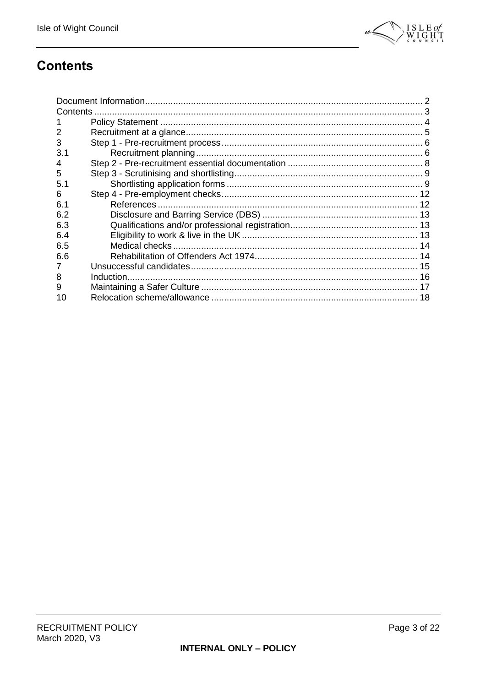

## <span id="page-2-0"></span>**Contents**

| Contents |  |
|----------|--|
|          |  |
| 2        |  |
| 3        |  |
| 3.1      |  |
| 4        |  |
| 5        |  |
| 5.1      |  |
| 6        |  |
| 6.1      |  |
| 6.2      |  |
| 6.3      |  |
| 6.4      |  |
| 6.5      |  |
| 6.6      |  |
|          |  |
| 8        |  |
| 9        |  |
| 10       |  |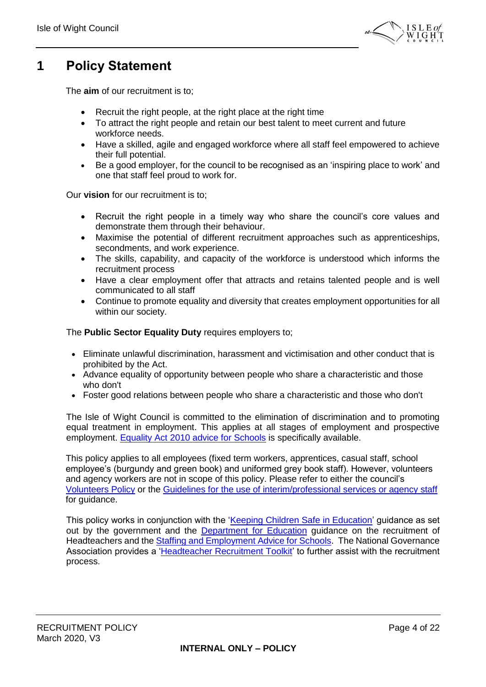

### <span id="page-3-0"></span>**1 Policy Statement**

The **aim** of our recruitment is to;

- Recruit the right people, at the right place at the right time
- To attract the right people and retain our best talent to meet current and future workforce needs.
- Have a skilled, agile and engaged workforce where all staff feel empowered to achieve their full potential.
- Be a good employer, for the council to be recognised as an 'inspiring place to work' and one that staff feel proud to work for.

Our **vision** for our recruitment is to;

- Recruit the right people in a timely way who share the council's core values and demonstrate them through their behaviour.
- Maximise the potential of different recruitment approaches such as apprenticeships, secondments, and work experience.
- The skills, capability, and capacity of the workforce is understood which informs the recruitment process
- Have a clear employment offer that attracts and retains talented people and is well communicated to all staff
- Continue to promote equality and diversity that creates employment opportunities for all within our society.

The **Public Sector Equality Duty** requires employers to;

- Eliminate unlawful discrimination, harassment and victimisation and other conduct that is prohibited by the Act.
- Advance equality of opportunity between people who share a characteristic and those who don't
- Foster good relations between people who share a characteristic and those who don't

The Isle of Wight Council is committed to the elimination of discrimination and to promoting equal treatment in employment. This applies at all stages of employment and prospective employment. [Equality Act 2010 advice for Schools](https://www.gov.uk/government/publications/equality-act-2010-advice-for-schools) is specifically available.

This policy applies to all employees (fixed term workers, apprentices, casual staff, school employee's (burgundy and green book) and uniformed grey book staff). However, volunteers and agency workers are not in scope of this policy. Please refer to either the council's [Volunteers Policy](http://wightnet.iow.gov.uk/documentlibrary/view/volunteers-policy) or the [Guidelines for the use of interim/professional services or agency staff](http://wightnet.iow.gov.uk/documentlibrary/view/new-2017-guidelines-for-the-use-of-interim-professional-services-or-agency-staff) for guidance.

This policy works in conjunction with the ['Keeping Children Safe in Education'](https://www.gov.uk/government/publications/keeping-children-safe-in-education--2) guidance as set out by the government and the [Department for Education](https://www.gov.uk/government/organisations/department-for-education) guidance on the recruitment of Headteachers and the [Staffing and Employment Advice for Schools.](file://///iow.gov.uk/corpdfs1/Human%20Resources/Advisory%20Case%20Work/Policies%20Procedures%20Strategies%20&%20Guidance/Recruitment%20Policy%202019/In%20maintained%20schools,%20it%20is%20the%20legal%20responsibility%20of%20the%20board%20to%20select%20a%20headteacher.%20The%20legal%20framework%20regarding%20the%20appointment%20of%20a%20headteacher,%20and%20the%20roles%20and%20responsibilities%20of%20those%20involved,%20is%20stipulated%20in%20the%20requirements%20of%20the%20School%20Staffing%20Regulations.) The National Governance Association provides a 'Headteacher [Recruitment Toolkit'](https://www.nga.org.uk/Guidance/Finance-and-Staffing/Executive-and-Senior-leadership/Headteacher-Recruitment-Toolkit.aspx) to further assist with the recruitment process.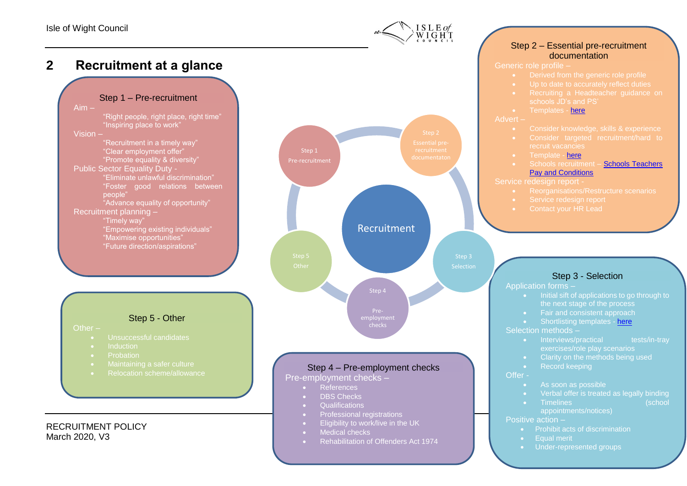

**2 Recruitment at a glance**

#### Step 1 – Pre-recruitment

Aim – "Right people, right place, right time" "Inspiring place to work" Vision – "Recruitment in a timely way" "Clear employment offer" "Promote equality & diversity" Public Sector Equality Duty - "Foster good relations between people" "Advance equality of opportunity" Recruitment planning – "Timely way" "Empowering existing individuals" "Maximise opportunities" "Future direction/aspirations"



- <span id="page-4-0"></span>Other –
	- Unsuccessful candidates
	-
	- Probation
	- Maintaining a safer culture
	- Relocation scheme/allowance

#### RECRUITMENT POLICY March 2020, V3



#### • References

- DBS Checks
- Qualifications
- Professional registrations
- Eligibility to work/live in the UK
- **Medical checks**
- **•** Rehabilitation of Offenders Act 1974

#### Step 2 – Essential pre-recruitment documentation

Generic role profile –

- 
- 
- 
- Templates [here](http://wightnet.iow.gov.uk/hr/recruitment/default.aspx)

#### Advert –

- 
- Consider targeted recruitment/hard to recruit vacancies
- Template [here](http://wightnet.iow.gov.uk/hr/recruitment/default.aspx)
- Schools recruitment [Schools Teachers](https://www.gov.uk/government/publications/school-teachers-pay-and-conditions)  [Pay and Conditions](https://www.gov.uk/government/publications/school-teachers-pay-and-conditions)

- 
- -

#### Step 3 - Selection

Application forms –

- Initial sift of applications to go through to the next stage of the process
- Fair and consistent approach
- Shortlisting templates [here](http://wightnet.iow.gov.uk/hr/Recruitment/Selection/)

Selection methods –

- Interviews/practical tests/in-tray
- Clarity on the methods being used
- Record keeping

#### Offer -

- As soon as possible
- Verbal offer is treated as legally binding
- Timelines (school appointments/notices)

#### Positive action –

- Prohibit acts of discrimination
- Equal merit
- Under-represented groups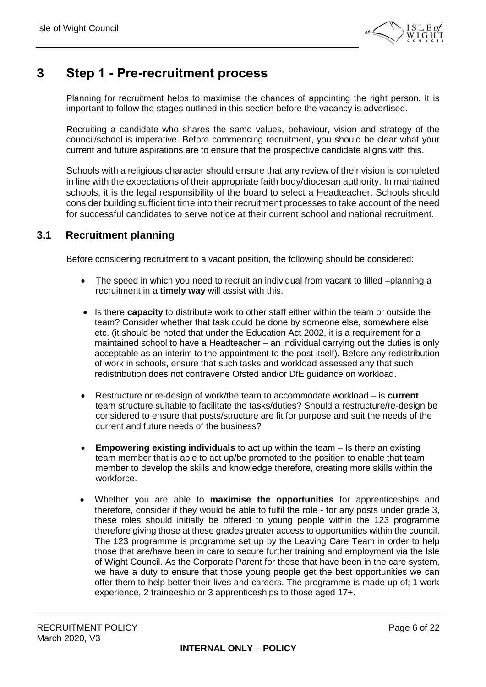

### <span id="page-5-0"></span>**3 Step 1 - Pre-recruitment process**

Planning for recruitment helps to maximise the chances of appointing the right person. It is important to follow the stages outlined in this section before the vacancy is advertised.

Recruiting a candidate who shares the same values, behaviour, vision and strategy of the council/school is imperative. Before commencing recruitment, you should be clear what your current and future aspirations are to ensure that the prospective candidate aligns with this.

Schools with a religious character should ensure that any review of their vision is completed in line with the expectations of their appropriate faith body/diocesan authority. In maintained schools, it is the legal responsibility of the board to select a Headteacher. Schools should consider building sufficient time into their recruitment processes to take account of the need for successful candidates to serve notice at their current school and national recruitment.

#### <span id="page-5-1"></span>**3.1 Recruitment planning**

Before considering recruitment to a vacant position, the following should be considered:

- The speed in which you need to recruit an individual from vacant to filled –planning a recruitment in a **timely way** will assist with this.
- Is there **capacity** to distribute work to other staff either within the team or outside the team? Consider whether that task could be done by someone else, somewhere else etc. (it should be noted that under the Education Act 2002, it is a requirement for a maintained school to have a Headteacher – an individual carrying out the duties is only acceptable as an interim to the appointment to the post itself). Before any redistribution of work in schools, ensure that such tasks and workload assessed any that such redistribution does not contravene Ofsted and/or DfE guidance on workload.
- Restructure or re-design of work/the team to accommodate workload is **current** team structure suitable to facilitate the tasks/duties? Should a restructure/re-design be considered to ensure that posts/structure are fit for purpose and suit the needs of the current and future needs of the business?
- **Empowering existing individuals** to act up within the team Is there an existing team member that is able to act up/be promoted to the position to enable that team member to develop the skills and knowledge therefore, creating more skills within the workforce.
- Whether you are able to **maximise the opportunities** for apprenticeships and therefore, consider if they would be able to fulfil the role - for any posts under grade 3, these roles should initially be offered to young people within the 123 programme therefore giving those at these grades greater access to opportunities within the council. The 123 programme is programme set up by the Leaving Care Team in order to help those that are/have been in care to secure further training and employment via the Isle of Wight Council. As the Corporate Parent for those that have been in the care system, we have a duty to ensure that those young people get the best opportunities we can offer them to help better their lives and careers. The programme is made up of; 1 work experience, 2 traineeship or 3 apprenticeships to those aged 17+.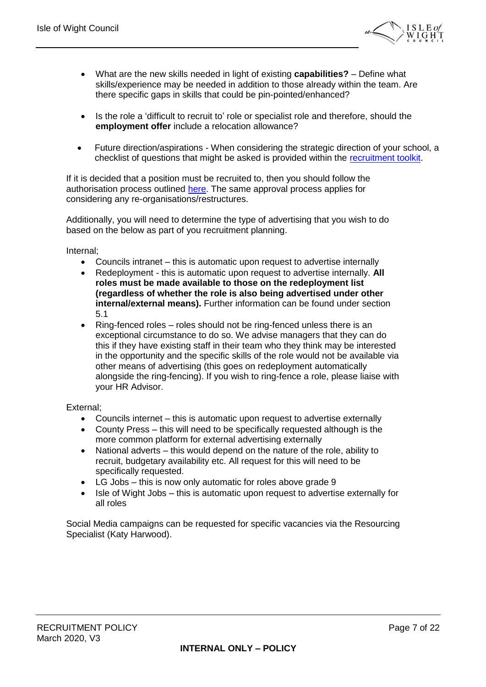

- What are the new skills needed in light of existing **capabilities?** Define what skills/experience may be needed in addition to those already within the team. Are there specific gaps in skills that could be pin-pointed/enhanced?
- Is the role a 'difficult to recruit to' role or specialist role and therefore, should the **employment offer** include a relocation allowance?
- Future direction/aspirations When considering the strategic direction of your school, a checklist of questions that might be asked is provided within the [recruitment toolkit.](https://www.nga.org.uk/Guidance/Finance-and-Staffing/Executive-and-Senior-leadership/Headteacher-Recruitment-Toolkit.aspx)

If it is decided that a position must be recruited to, then you should follow the authorisation process outlined [here.](http://wightnet.iow.gov.uk/hr/HRGuidance/Recruitment/DecisionToRecruit/Authorisation.aspx) The same approval process applies for considering any re-organisations/restructures.

Additionally, you will need to determine the type of advertising that you wish to do based on the below as part of you recruitment planning.

Internal;

- Councils intranet this is automatic upon request to advertise internally
- Redeployment this is automatic upon request to advertise internally. **All roles must be made available to those on the redeployment list (regardless of whether the role is also being advertised under other internal/external means).** Further information can be found under section 5.1
- Ring-fenced roles roles should not be ring-fenced unless there is an exceptional circumstance to do so. We advise managers that they can do this if they have existing staff in their team who they think may be interested in the opportunity and the specific skills of the role would not be available via other means of advertising (this goes on redeployment automatically alongside the ring-fencing). If you wish to ring-fence a role, please liaise with your HR Advisor.

External;

- Councils internet this is automatic upon request to advertise externally
- County Press this will need to be specifically requested although is the more common platform for external advertising externally
- National adverts this would depend on the nature of the role, ability to recruit, budgetary availability etc. All request for this will need to be specifically requested.
- LG Jobs this is now only automatic for roles above grade 9
- Isle of Wight Jobs this is automatic upon request to advertise externally for all roles

Social Media campaigns can be requested for specific vacancies via the Resourcing Specialist (Katy Harwood).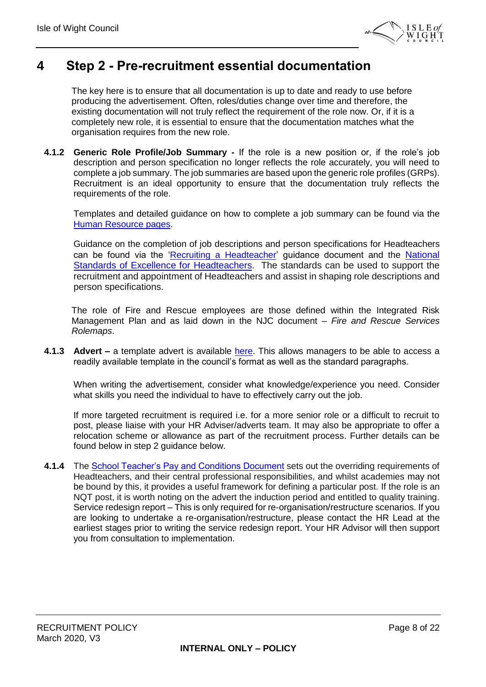

### <span id="page-7-0"></span>**4 Step 2 - Pre-recruitment essential documentation**

The key here is to ensure that all documentation is up to date and ready to use before producing the advertisement. Often, roles/duties change over time and therefore, the existing documentation will not truly reflect the requirement of the role now. Or, if it is a completely new role, it is essential to ensure that the documentation matches what the organisation requires from the new role.

**4.1.2 Generic Role Profile/Job Summary -** If the role is a new position or, if the role's job description and person specification no longer reflects the role accurately, you will need to complete a job summary. The job summaries are based upon the generic role profiles (GRPs). Recruitment is an ideal opportunity to ensure that the documentation truly reflects the requirements of the role.

Templates and detailed guidance on how to complete a job summary can be found [via](https://wightnet.iow.gov.uk/hr/HRGuidance/genericroleprofiles.aspxhttps:/wightnet.iow.gov.uk/hr/HRGuidance/genericroleprofiles.aspx) the [Human Resource pages.](https://wightnet.iow.gov.uk/hr/default.aspx)

Guidance on the completion of job descriptions and person specifications for Headteachers can be found via the ['Recruiting a Headteacher'](https://www.gov.uk/government/publications/recruiting-a-headteacher) guidance document and the [National](https://www.gov.uk/government/publications/national-standards-of-excellence-for-headteachers)  [Standards of Excellence for Headteachers.](https://www.gov.uk/government/publications/national-standards-of-excellence-for-headteachers) The standards can be used to support the recruitment and appointment of Headteachers and assist in shaping role descriptions and person specifications.

The role of Fire and Rescue employees are those defined within the Integrated Risk Management Plan and as laid down in the NJC document – *Fire and Rescue Services Rolemaps*.

**4.1.3** Advert – a template advert is available [here.](http://wightnet.iow.gov.uk/documentlibrary/view/advertisement-template-guidance) This allows managers to be able to access a readily available template in the council's format as well as the standard paragraphs.

When writing the advertisement, consider what knowledge/experience you need. Consider what skills you need the individual to have to effectively carry out the job.

If more targeted recruitment is required i.e. for a more senior role or a difficult to recruit to post, please liaise with your HR Adviser/adverts team. It may also be appropriate to offer a relocation scheme or allowance as part of the recruitment process. Further details can be found below in step 2 quidance below.

**4.1.4** The [School Teacher's Pay and Conditions Document](https://www.gov.uk/government/publications/school-teachers-pay-and-conditions) sets out the overriding requirements of Headteachers, and their central professional responsibilities, and whilst academies may not be bound by this, it provides a useful framework for defining a particular post. If the role is an NQT post, it is worth noting on the advert the induction period and entitled to quality training. Service redesign report – This is only required for re-organisation/restructure scenarios. If you are looking to undertake a re-organisation/restructure, please contact the HR Lead at the earliest stages prior to writing the service redesign report. Your HR Advisor will then support you from consultation to implementation.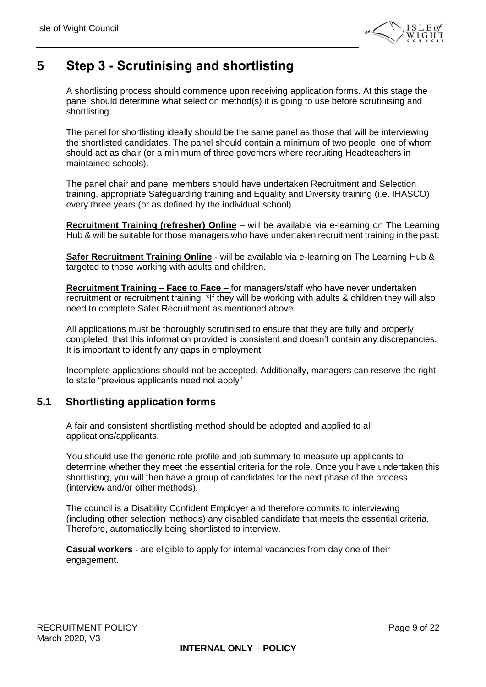

### <span id="page-8-0"></span>**5 Step 3 - Scrutinising and shortlisting**

A shortlisting process should commence upon receiving application forms. At this stage the panel should determine what selection method(s) it is going to use before scrutinising and shortlisting.

The panel for shortlisting ideally should be the same panel as those that will be interviewing the shortlisted candidates. The panel should contain a minimum of two people, one of whom should act as chair (or a minimum of three governors where recruiting Headteachers in maintained schools).

The panel chair and panel members should have undertaken Recruitment and Selection training, appropriate Safeguarding training and Equality and Diversity training (i.e. IHASCO) every three years (or as defined by the individual school).

**Recruitment Training (refresher) Online** – will be available via e-learning on The Learning Hub & will be suitable for those managers who have undertaken recruitment training in the past.

**Safer Recruitment Training Online** - will be available via e-learning on The Learning Hub & targeted to those working with adults and children.

**Recruitment Training – Face to Face –** for managers/staff who have never undertaken recruitment or recruitment training. \*If they will be working with adults & children they will also need to complete Safer Recruitment as mentioned above.

All applications must be thoroughly scrutinised to ensure that they are fully and properly completed, that this information provided is consistent and doesn't contain any discrepancies. It is important to identify any gaps in employment.

Incomplete applications should not be accepted. Additionally, managers can reserve the right to state "previous applicants need not apply"

#### <span id="page-8-1"></span>**5.1 Shortlisting application forms**

A fair and consistent shortlisting method should be adopted and applied to all applications/applicants.

You should use the generic role profile and job summary to measure up applicants to determine whether they meet the essential criteria for the role. Once you have undertaken this shortlisting, you will then have a group of candidates for the next phase of the process (interview and/or other methods).

The council is a Disability Confident Employer and therefore commits to interviewing (including other selection methods) any disabled candidate that meets the essential criteria. Therefore, automatically being shortlisted to interview.

**Casual workers** - are eligible to apply for internal vacancies from day one of their engagement.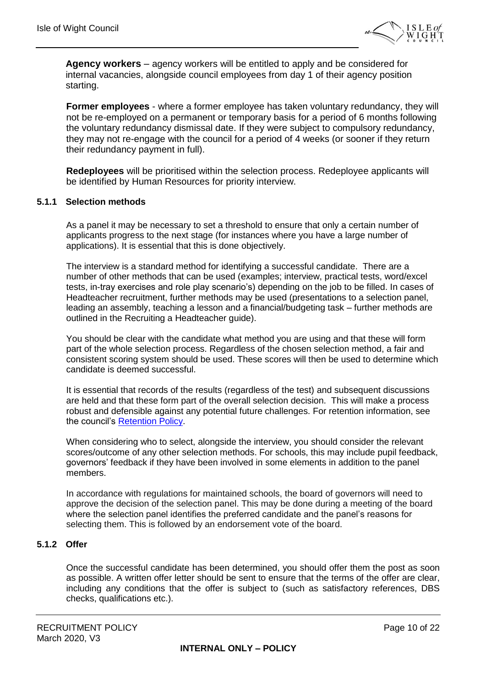

**Agency workers** – agency workers will be entitled to apply and be considered for internal vacancies, alongside council employees from day 1 of their agency position starting.

**Former employees** - where a former employee has taken voluntary redundancy, they will not be re-employed on a permanent or temporary basis for a period of 6 months following the voluntary redundancy dismissal date. If they were subject to compulsory redundancy, they may not re-engage with the council for a period of 4 weeks (or sooner if they return their redundancy payment in full).

**Redeployees** will be prioritised within the selection process. Redeployee applicants will be identified by Human Resources for priority interview.

#### **5.1.1 Selection methods**

As a panel it may be necessary to set a threshold to ensure that only a certain number of applicants progress to the next stage (for instances where you have a large number of applications). It is essential that this is done objectively.

The interview is a standard method for identifying a successful candidate. There are a number of other methods that can be used (examples; interview, practical tests, word/excel tests, in-tray exercises and role play scenario's) depending on the job to be filled. In cases of Headteacher recruitment, further methods may be used (presentations to a selection panel, leading an assembly, teaching a lesson and a financial/budgeting task – further methods are outlined in the Recruiting a Headteacher guide).

You should be clear with the candidate what method you are using and that these will form part of the whole selection process. Regardless of the chosen selection method, a fair and consistent scoring system should be used. These scores will then be used to determine which candidate is deemed successful.

It is essential that records of the results (regardless of the test) and subsequent discussions are held and that these form part of the overall selection decision. This will make a process robust and defensible against any potential future challenges. For retention information, see the council's [Retention Policy.](http://wightnet.iow.gov.uk/documentlibrary/view/retention-policy-2011)

When considering who to select, alongside the interview, you should consider the relevant scores/outcome of any other selection methods. For schools, this may include pupil feedback, governors' feedback if they have been involved in some elements in addition to the panel members.

In accordance with regulations for maintained schools, the board of governors will need to approve the decision of the selection panel. This may be done during a meeting of the board where the selection panel identifies the preferred candidate and the panel's reasons for selecting them. This is followed by an endorsement vote of the board.

#### **5.1.2 Offer**

Once the successful candidate has been determined, you should offer them the post as soon as possible. A written offer letter should be sent to ensure that the terms of the offer are clear, including any conditions that the offer is subject to (such as satisfactory references, DBS checks, qualifications etc.).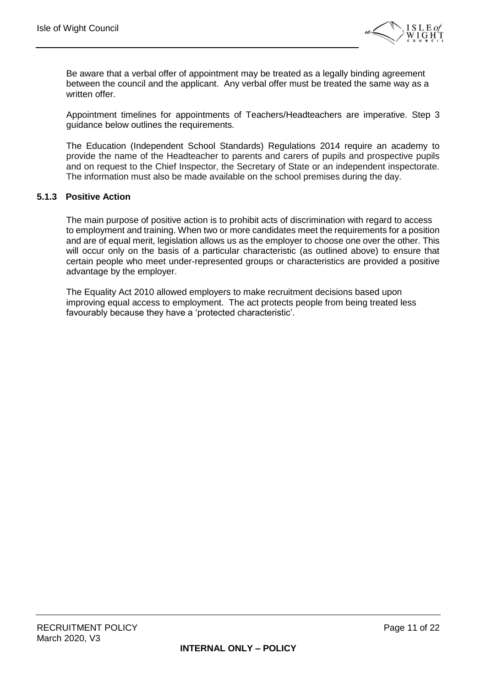

Be aware that a verbal offer of appointment may be treated as a legally binding agreement between the council and the applicant. Any verbal offer must be treated the same way as a written offer.

Appointment timelines for appointments of Teachers/Headteachers are imperative. Step 3 guidance below outlines the requirements.

The Education (Independent School Standards) Regulations 2014 require an academy to provide the name of the Headteacher to parents and carers of pupils and prospective pupils and on request to the Chief Inspector, the Secretary of State or an independent inspectorate. The information must also be made available on the school premises during the day.

#### **5.1.3 Positive Action**

The main purpose of positive action is to prohibit acts of discrimination with regard to access to employment and training. When two or more candidates meet the requirements for a position and are of equal merit, legislation allows us as the employer to choose one over the other. This will occur only on the basis of a particular characteristic (as outlined above) to ensure that certain people who meet under-represented groups or characteristics are provided a positive advantage by the employer.

The Equality Act 2010 allowed employers to make recruitment decisions based upon improving equal access to employment. The act protects people from being treated less favourably because they have a 'protected characteristic'.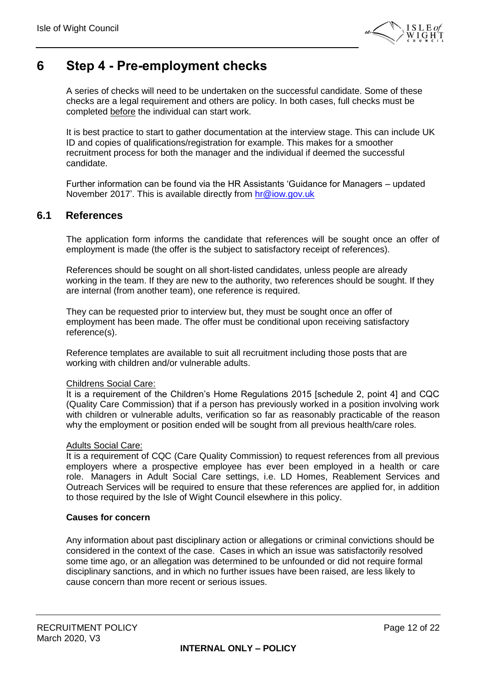

### <span id="page-11-0"></span>**6 Step 4 - Pre-employment checks**

A series of checks will need to be undertaken on the successful candidate. Some of these checks are a legal requirement and others are policy. In both cases, full checks must be completed before the individual can start work.

It is best practice to start to gather documentation at the interview stage. This can include UK ID and copies of qualifications/registration for example. This makes for a smoother recruitment process for both the manager and the individual if deemed the successful candidate.

Further information can be found via the HR Assistants 'Guidance for Managers – updated November 2017'. This is available directly from [hr@iow.gov.uk](mailto:hr@iow.gov.uk)

#### <span id="page-11-1"></span>**6.1 References**

The application form informs the candidate that references will be sought once an offer of employment is made (the offer is the subject to satisfactory receipt of references).

References should be sought on all short-listed candidates, unless people are already working in the team. If they are new to the authority, two references should be sought. If they are internal (from another team), one reference is required.

They can be requested prior to interview but, they must be sought once an offer of employment has been made. The offer must be conditional upon receiving satisfactory reference(s).

Reference templates are available to suit all recruitment including those posts that are working with children and/or vulnerable adults.

#### Childrens Social Care:

It is a requirement of the Children's Home Regulations 2015 [schedule 2, point 4] and CQC (Quality Care Commission) that if a person has previously worked in a position involving work with children or vulnerable adults, verification so far as reasonably practicable of the reason why the employment or position ended will be sought from all previous health/care roles.

#### Adults Social Care:

It is a requirement of CQC (Care Quality Commission) to request references from all previous employers where a prospective employee has ever been employed in a health or care role. Managers in Adult Social Care settings, i.e. LD Homes, Reablement Services and Outreach Services will be required to ensure that these references are applied for, in addition to those required by the Isle of Wight Council elsewhere in this policy.

#### **Causes for concern**

Any information about past disciplinary action or allegations or criminal convictions should be considered in the context of the case. Cases in which an issue was satisfactorily resolved some time ago, or an allegation was determined to be unfounded or did not require formal disciplinary sanctions, and in which no further issues have been raised, are less likely to cause concern than more recent or serious issues.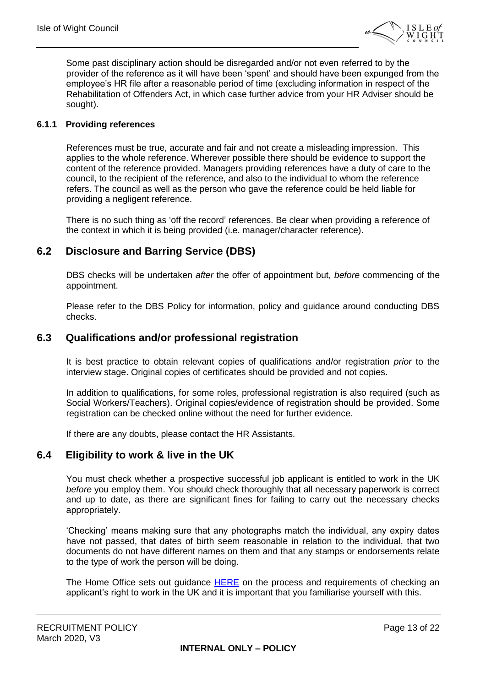

Some past disciplinary action should be disregarded and/or not even referred to by the provider of the reference as it will have been 'spent' and should have been expunged from the employee's HR file after a reasonable period of time (excluding information in respect of the Rehabilitation of Offenders Act, in which case further advice from your HR Adviser should be sought).

#### **6.1.1 Providing references**

References must be true, accurate and fair and not create a misleading impression. This applies to the whole reference. Wherever possible there should be evidence to support the content of the reference provided. Managers providing references have a duty of care to the council, to the recipient of the reference, and also to the individual to whom the reference refers. The council as well as the person who gave the reference could be held liable for providing a negligent reference.

There is no such thing as 'off the record' references. Be clear when providing a reference of the context in which it is being provided (i.e. manager/character reference).

#### <span id="page-12-0"></span>**6.2 Disclosure and Barring Service (DBS)**

DBS checks will be undertaken *after* the offer of appointment but, *before* commencing of the appointment.

Please refer to the DBS Policy for information, policy and guidance around conducting DBS checks.

#### <span id="page-12-1"></span>**6.3 Qualifications and/or professional registration**

It is best practice to obtain relevant copies of qualifications and/or registration *prior* to the interview stage. Original copies of certificates should be provided and not copies.

In addition to qualifications, for some roles, professional registration is also required (such as Social Workers/Teachers). Original copies/evidence of registration should be provided. Some registration can be checked online without the need for further evidence.

If there are any doubts, please contact the HR Assistants.

#### <span id="page-12-2"></span>**6.4 Eligibility to work & live in the UK**

You must check whether a prospective successful job applicant is entitled to work in the UK *before* you employ them. You should check thoroughly that all necessary paperwork is correct and up to date, as there are significant fines for failing to carry out the necessary checks appropriately.

'Checking' means making sure that any photographs match the individual, any expiry dates have not passed, that dates of birth seem reasonable in relation to the individual, that two documents do not have different names on them and that any stamps or endorsements relate to the type of work the person will be doing.

The Home Office sets out guidance [HERE](https://www.gov.uk/check-job-applicant-right-to-work) on the process and requirements of checking an applicant's right to work in the UK and it is important that you familiarise yourself with this.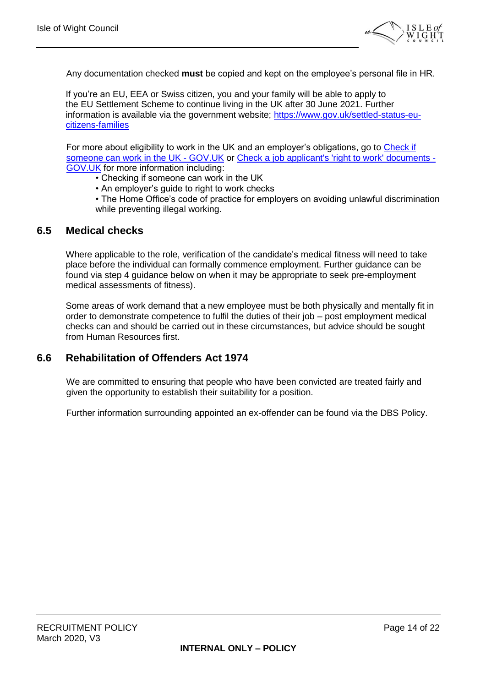

Any documentation checked **must** be copied and kept on the employee's personal file in HR.

If you're an EU, EEA or Swiss citizen, you and your family will be able to apply to the EU Settlement Scheme to continue living in the UK after 30 June 2021. Further information is available via the government website; [https://www.gov.uk/settled-status-eu](https://www.gov.uk/settled-status-eu-citizens-families)[citizens-families](https://www.gov.uk/settled-status-eu-citizens-families)

For more about eligibility to work in the UK and an employer's obligations, go to Check if [someone can work in the UK -](https://www.gov.uk/legal-right-work-uk) GOV.UK or [Check a job applicant's 'right to work' documents -](https://www.gov.uk/check-job-applicant-right-to-work) [GOV.UK](https://www.gov.uk/check-job-applicant-right-to-work) for more information including:

• Checking if someone can work in the UK

• An employer's guide to right to work checks

• The Home Office's code of practice for employers on avoiding unlawful discrimination while preventing illegal working.

#### <span id="page-13-0"></span>**6.5 Medical checks**

Where applicable to the role, verification of the candidate's medical fitness will need to take place before the individual can formally commence employment. Further guidance can be found via step 4 guidance below on when it may be appropriate to seek pre-employment medical assessments of fitness).

Some areas of work demand that a new employee must be both physically and mentally fit in order to demonstrate competence to fulfil the duties of their job – post employment medical checks can and should be carried out in these circumstances, but advice should be sought from Human Resources first.

#### <span id="page-13-1"></span>**6.6 Rehabilitation of Offenders Act 1974**

We are committed to ensuring that people who have been convicted are treated fairly and given the opportunity to establish their suitability for a position.

Further information surrounding appointed an ex-offender can be found via the DBS Policy.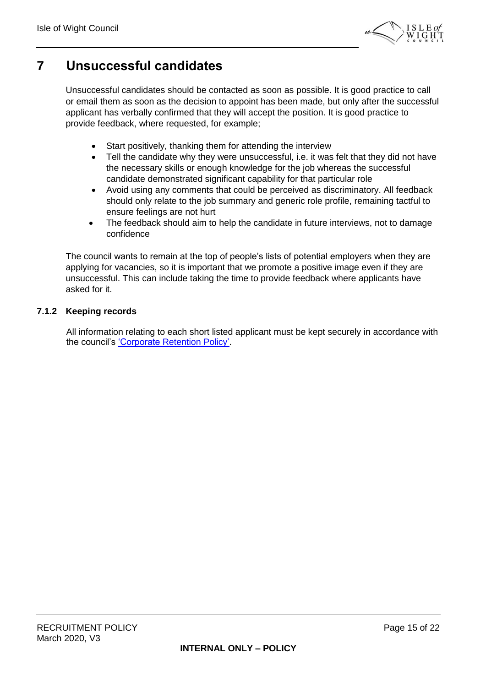

### <span id="page-14-0"></span>**7 Unsuccessful candidates**

Unsuccessful candidates should be contacted as soon as possible. It is good practice to call or email them as soon as the decision to appoint has been made, but only after the successful applicant has verbally confirmed that they will accept the position. It is good practice to provide feedback, where requested, for example;

- Start positively, thanking them for attending the interview
- Tell the candidate why they were unsuccessful, i.e. it was felt that they did not have the necessary skills or enough knowledge for the job whereas the successful candidate demonstrated significant capability for that particular role
- Avoid using any comments that could be perceived as discriminatory. All feedback should only relate to the job summary and generic role profile, remaining tactful to ensure feelings are not hurt
- The feedback should aim to help the candidate in future interviews, not to damage confidence

The council wants to remain at the top of people's lists of potential employers when they are applying for vacancies, so it is important that we promote a positive image even if they are unsuccessful. This can include taking the time to provide feedback where applicants have asked for it.

#### **7.1.2 Keeping records**

All information relating to each short listed applicant must be kept securely in accordance with the council's ['Corporate Retention Policy'.](http://wightnet.iow.gov.uk/documentlibrary/view/retention-policy-2011)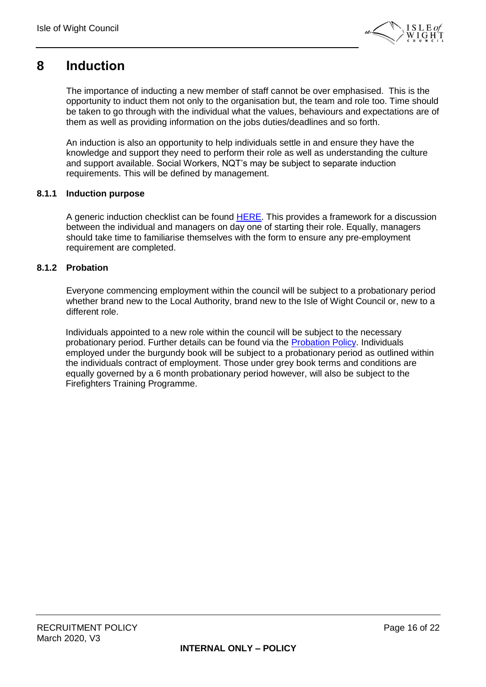

### <span id="page-15-0"></span>**8 Induction**

The importance of inducting a new member of staff cannot be over emphasised. This is the opportunity to induct them not only to the organisation but, the team and role too. Time should be taken to go through with the individual what the values, behaviours and expectations are of them as well as providing information on the jobs duties/deadlines and so forth.

An induction is also an opportunity to help individuals settle in and ensure they have the knowledge and support they need to perform their role as well as understanding the culture and support available. Social Workers, NQT's may be subject to separate induction requirements. This will be defined by management.

#### **8.1.1 Induction purpose**

A generic induction checklist can be found [HERE.](http://wightnet.iow.gov.uk/documentlibrary/view/induction-checklist-2017-pdf-) This provides a framework for a discussion between the individual and managers on day one of starting their role. Equally, managers should take time to familiarise themselves with the form to ensure any pre-employment requirement are completed.

#### **8.1.2 Probation**

Everyone commencing employment within the council will be subject to a probationary period whether brand new to the Local Authority, brand new to the Isle of Wight Council or, new to a different role.

Individuals appointed to a new role within the council will be subject to the necessary probationary period. Further details can be found via the [Probation Policy.](http://wightnet.iow.gov.uk/documentlibrary/view/probation-policy-2017) Individuals employed under the burgundy book will be subject to a probationary period as outlined within the individuals contract of employment. Those under grey book terms and conditions are equally governed by a 6 month probationary period however, will also be subject to the Firefighters Training Programme.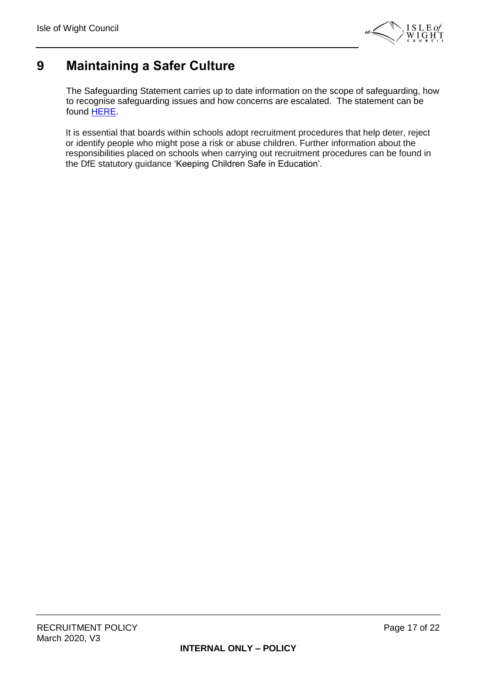

### <span id="page-16-0"></span>**9 Maintaining a Safer Culture**

The Safeguarding Statement carries up to date information on the scope of safeguarding, how to recognise safeguarding issues and how concerns are escalated. The statement can be found [HERE.](http://wightnet.iow.gov.uk/documentlibrary/view/safeguarding-statement)

It is essential that boards within schools adopt recruitment procedures that help deter, reject or identify people who might pose a risk or abuse children. Further information about the responsibilities placed on schools when carrying out recruitment procedures can be found in the DfE statutory guidance 'Keeping Children Safe in Education'.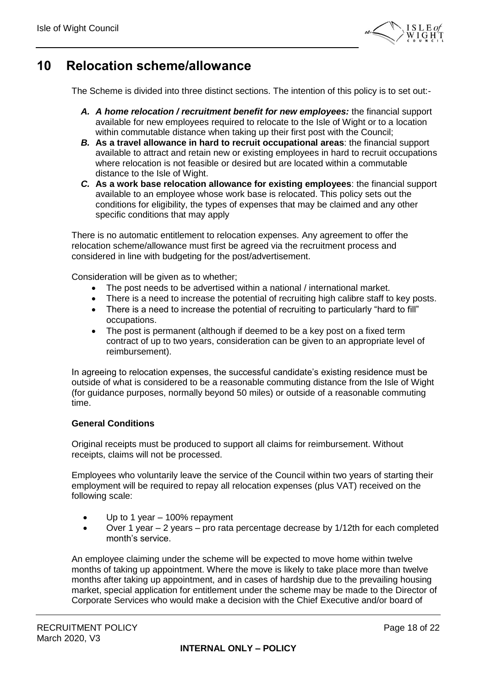

### <span id="page-17-0"></span>**10 Relocation scheme/allowance**

The Scheme is divided into three distinct sections. The intention of this policy is to set out:-

- *A. A home relocation / recruitment benefit for new employees:* the financial support available for new employees required to relocate to the Isle of Wight or to a location within commutable distance when taking up their first post with the Council;
- *B.* **As a travel allowance in hard to recruit occupational areas**: the financial support available to attract and retain new or existing employees in hard to recruit occupations where relocation is not feasible or desired but are located within a commutable distance to the Isle of Wight.
- *C.* **As a work base relocation allowance for existing employees**: the financial support available to an employee whose work base is relocated. This policy sets out the conditions for eligibility, the types of expenses that may be claimed and any other specific conditions that may apply

There is no automatic entitlement to relocation expenses. Any agreement to offer the relocation scheme/allowance must first be agreed via the recruitment process and considered in line with budgeting for the post/advertisement.

Consideration will be given as to whether;

- The post needs to be advertised within a national / international market.
- There is a need to increase the potential of recruiting high calibre staff to key posts.
- There is a need to increase the potential of recruiting to particularly "hard to fill" occupations.
- The post is permanent (although if deemed to be a key post on a fixed term contract of up to two years, consideration can be given to an appropriate level of reimbursement).

In agreeing to relocation expenses, the successful candidate's existing residence must be outside of what is considered to be a reasonable commuting distance from the Isle of Wight (for guidance purposes, normally beyond 50 miles) or outside of a reasonable commuting time.

#### **General Conditions**

Original receipts must be produced to support all claims for reimbursement. Without receipts, claims will not be processed.

Employees who voluntarily leave the service of the Council within two years of starting their employment will be required to repay all relocation expenses (plus VAT) received on the following scale:

- Up to 1 year  $-$  100% repayment
- Over 1 year 2 years pro rata percentage decrease by 1/12th for each completed month's service.

An employee claiming under the scheme will be expected to move home within twelve months of taking up appointment. Where the move is likely to take place more than twelve months after taking up appointment, and in cases of hardship due to the prevailing housing market, special application for entitlement under the scheme may be made to the Director of Corporate Services who would make a decision with the Chief Executive and/or board of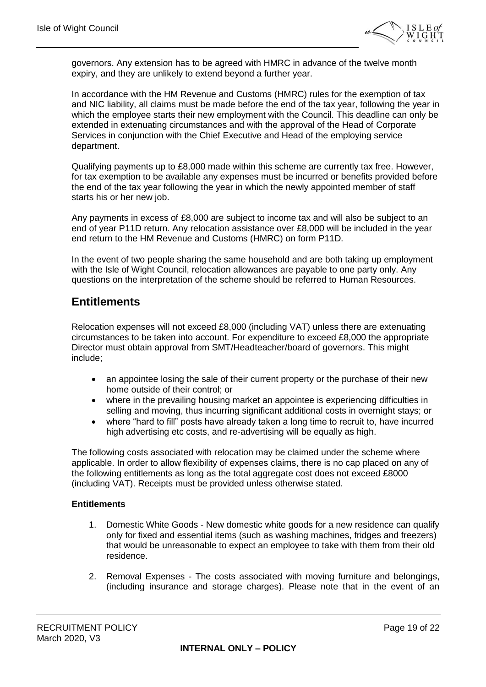

governors. Any extension has to be agreed with HMRC in advance of the twelve month expiry, and they are unlikely to extend beyond a further year.

In accordance with the HM Revenue and Customs (HMRC) rules for the exemption of tax and NIC liability, all claims must be made before the end of the tax year, following the year in which the employee starts their new employment with the Council. This deadline can only be extended in extenuating circumstances and with the approval of the Head of Corporate Services in conjunction with the Chief Executive and Head of the employing service department.

Qualifying payments up to £8,000 made within this scheme are currently tax free. However, for tax exemption to be available any expenses must be incurred or benefits provided before the end of the tax year following the year in which the newly appointed member of staff starts his or her new job.

Any payments in excess of £8,000 are subject to income tax and will also be subject to an end of year P11D return. Any relocation assistance over £8,000 will be included in the year end return to the HM Revenue and Customs (HMRC) on form P11D.

In the event of two people sharing the same household and are both taking up employment with the Isle of Wight Council, relocation allowances are payable to one party only. Any questions on the interpretation of the scheme should be referred to Human Resources.

### **Entitlements**

Relocation expenses will not exceed £8,000 (including VAT) unless there are extenuating circumstances to be taken into account. For expenditure to exceed £8,000 the appropriate Director must obtain approval from SMT/Headteacher/board of governors. This might include;

- an appointee losing the sale of their current property or the purchase of their new home outside of their control; or
- where in the prevailing housing market an appointee is experiencing difficulties in selling and moving, thus incurring significant additional costs in overnight stays; or
- where "hard to fill" posts have already taken a long time to recruit to, have incurred high advertising etc costs, and re-advertising will be equally as high.

The following costs associated with relocation may be claimed under the scheme where applicable. In order to allow flexibility of expenses claims, there is no cap placed on any of the following entitlements as long as the total aggregate cost does not exceed £8000 (including VAT). Receipts must be provided unless otherwise stated.

#### **Entitlements**

- 1. Domestic White Goods New domestic white goods for a new residence can qualify only for fixed and essential items (such as washing machines, fridges and freezers) that would be unreasonable to expect an employee to take with them from their old residence.
- 2. Removal Expenses The costs associated with moving furniture and belongings, (including insurance and storage charges). Please note that in the event of an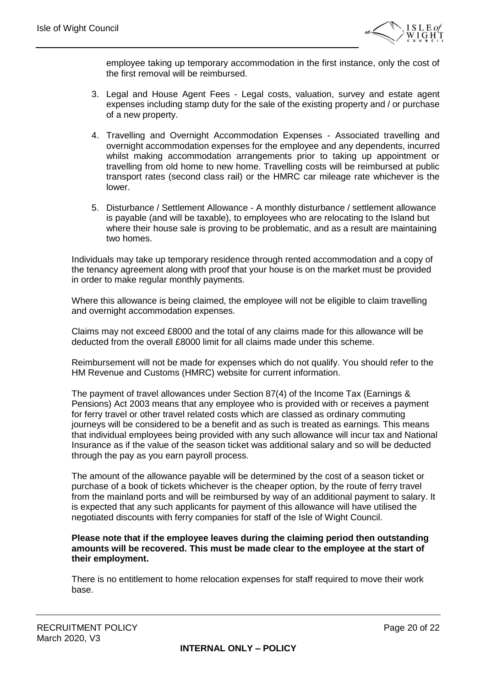

employee taking up temporary accommodation in the first instance, only the cost of the first removal will be reimbursed.

- 3. Legal and House Agent Fees Legal costs, valuation, survey and estate agent expenses including stamp duty for the sale of the existing property and / or purchase of a new property.
- 4. Travelling and Overnight Accommodation Expenses Associated travelling and overnight accommodation expenses for the employee and any dependents, incurred whilst making accommodation arrangements prior to taking up appointment or travelling from old home to new home. Travelling costs will be reimbursed at public transport rates (second class rail) or the HMRC car mileage rate whichever is the lower.
- 5. Disturbance / Settlement Allowance A monthly disturbance / settlement allowance is payable (and will be taxable), to employees who are relocating to the Island but where their house sale is proving to be problematic, and as a result are maintaining two homes.

Individuals may take up temporary residence through rented accommodation and a copy of the tenancy agreement along with proof that your house is on the market must be provided in order to make regular monthly payments.

Where this allowance is being claimed, the employee will not be eligible to claim travelling and overnight accommodation expenses.

Claims may not exceed £8000 and the total of any claims made for this allowance will be deducted from the overall £8000 limit for all claims made under this scheme.

Reimbursement will not be made for expenses which do not qualify. You should refer to the HM Revenue and Customs (HMRC) website for current information.

The payment of travel allowances under Section 87(4) of the Income Tax (Earnings & Pensions) Act 2003 means that any employee who is provided with or receives a payment for ferry travel or other travel related costs which are classed as ordinary commuting journeys will be considered to be a benefit and as such is treated as earnings. This means that individual employees being provided with any such allowance will incur tax and National Insurance as if the value of the season ticket was additional salary and so will be deducted through the pay as you earn payroll process.

The amount of the allowance payable will be determined by the cost of a season ticket or purchase of a book of tickets whichever is the cheaper option, by the route of ferry travel from the mainland ports and will be reimbursed by way of an additional payment to salary. It is expected that any such applicants for payment of this allowance will have utilised the negotiated discounts with ferry companies for staff of the Isle of Wight Council.

#### **Please note that if the employee leaves during the claiming period then outstanding amounts will be recovered. This must be made clear to the employee at the start of their employment.**

There is no entitlement to home relocation expenses for staff required to move their work base.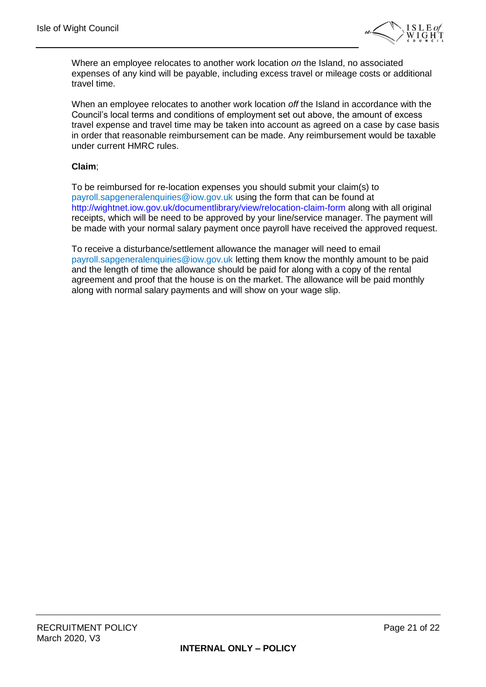

Where an employee relocates to another work location *on* the Island, no associated expenses of any kind will be payable, including excess travel or mileage costs or additional travel time.

When an employee relocates to another work location *off* the Island in accordance with the Council's local terms and conditions of employment set out above, the amount of excess travel expense and travel time may be taken into account as agreed on a case by case basis in order that reasonable reimbursement can be made. Any reimbursement would be taxable under current HMRC rules.

#### **Claim**;

To be reimbursed for re-location expenses you should submit your claim(s) to payroll.sapgeneralenquiries@iow.gov.uk using the form that can be found at http://wightnet.iow.gov.uk/documentlibrary/view/relocation-claim-form along with all original receipts, which will be need to be approved by your line/service manager. The payment will be made with your normal salary payment once payroll have received the approved request.

To receive a disturbance/settlement allowance the manager will need to email payroll.sapgeneralenquiries@iow.gov.uk letting them know the monthly amount to be paid and the length of time the allowance should be paid for along with a copy of the rental agreement and proof that the house is on the market. The allowance will be paid monthly along with normal salary payments and will show on your wage slip.